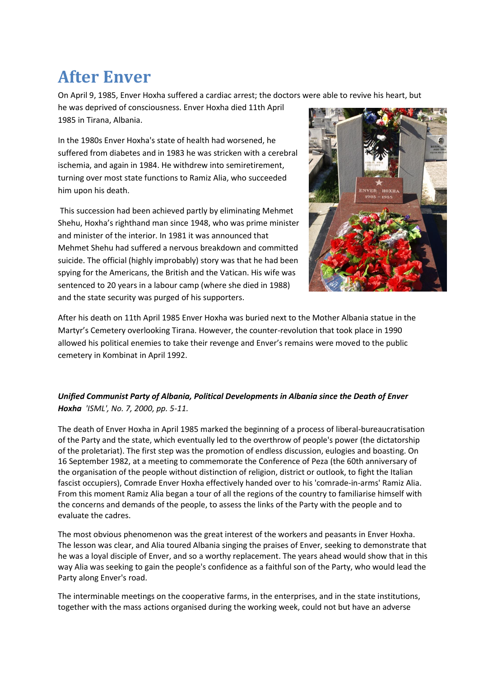## **After Enver**

On April 9, 1985, Enver Hoxha suffered a cardiac arrest; the doctors were able to revive his heart, but

he was deprived of consciousness. Enver Hoxha died 11th April 1985 in Tirana, Albania.

In the 1980s Enver Hoxha's state of health had worsened, he suffered from diabetes and in 1983 he was stricken with a cerebral ischemia, and again in 1984. He withdrew into semiretirement, turning over most state functions to Ramiz Alia, who succeeded him upon his death.

This succession had been achieved partly by eliminating Mehmet Shehu, Hoxha's righthand man since 1948, who was prime minister and minister of the interior. In 1981 it was announced that Mehmet Shehu had suffered a nervous breakdown and committed suicide. The official (highly improbably) story was that he had been spying for the Americans, the British and the Vatican. His wife was sentenced to 20 years in a labour camp (where she died in 1988) and the state security was purged of his supporters.



After his death on 11th April 1985 Enver Hoxha was buried next to the Mother Albania statue in the Martyr's Cemetery overlooking Tirana. However, the counter-revolution that took place in 1990 allowed his political enemies to take their revenge and Enver's remains were moved to the public cemetery in Kombinat in April 1992.

## *Unified Communist Party of Albania, Political Developments in Albania since the Death of Enver Hoxha 'ISML', No. 7, 2000, pp. 5-11.*

The death of Enver Hoxha in April 1985 marked the beginning of a process of liberal-bureaucratisation of the Party and the state, which eventually led to the overthrow of people's power (the dictatorship of the proletariat). The first step was the promotion of endless discussion, eulogies and boasting. On 16 September 1982, at a meeting to commemorate the Conference of Peza (the 60th anniversary of the organisation of the people without distinction of religion, district or outlook, to fight the Italian fascist occupiers), Comrade Enver Hoxha effectively handed over to his 'comrade-in-arms' Ramiz Alia. From this moment Ramiz Alia began a tour of all the regions of the country to familiarise himself with the concerns and demands of the people, to assess the links of the Party with the people and to evaluate the cadres.

The most obvious phenomenon was the great interest of the workers and peasants in Enver Hoxha. The lesson was clear, and Alia toured Albania singing the praises of Enver, seeking to demonstrate that he was a loyal disciple of Enver, and so a worthy replacement. The years ahead would show that in this way Alia was seeking to gain the people's confidence as a faithful son of the Party, who would lead the Party along Enver's road.

The interminable meetings on the cooperative farms, in the enterprises, and in the state institutions, together with the mass actions organised during the working week, could not but have an adverse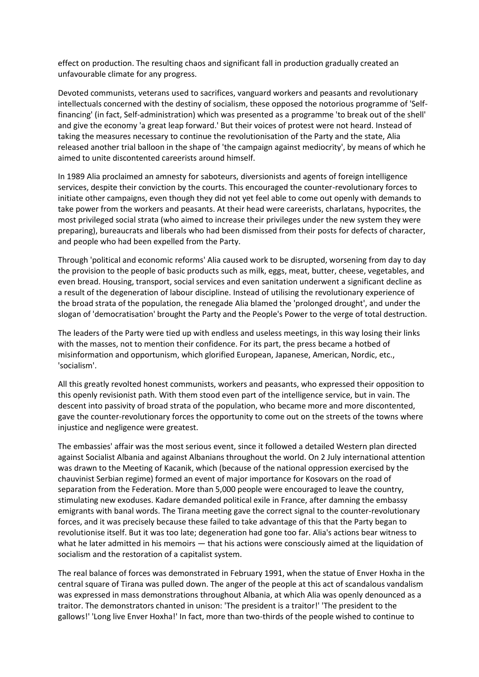effect on production. The resulting chaos and significant fall in production gradually created an unfavourable climate for any progress.

Devoted communists, veterans used to sacrifices, vanguard workers and peasants and revolutionary intellectuals concerned with the destiny of socialism, these opposed the notorious programme of 'Selffinancing' (in fact, Self-administration) which was presented as a programme 'to break out of the shell' and give the economy 'a great leap forward.' But their voices of protest were not heard. Instead of taking the measures necessary to continue the revolutionisation of the Party and the state, Alia released another trial balloon in the shape of 'the campaign against mediocrity', by means of which he aimed to unite discontented careerists around himself.

In 1989 Alia proclaimed an amnesty for saboteurs, diversionists and agents of foreign intelligence services, despite their conviction by the courts. This encouraged the counter-revolutionary forces to initiate other campaigns, even though they did not yet feel able to come out openly with demands to take power from the workers and peasants. At their head were careerists, charlatans, hypocrites, the most privileged social strata (who aimed to increase their privileges under the new system they were preparing), bureaucrats and liberals who had been dismissed from their posts for defects of character, and people who had been expelled from the Party.

Through 'political and economic reforms' Alia caused work to be disrupted, worsening from day to day the provision to the people of basic products such as milk, eggs, meat, butter, cheese, vegetables, and even bread. Housing, transport, social services and even sanitation underwent a significant decline as a result of the degeneration of labour discipline. Instead of utilising the revolutionary experience of the broad strata of the population, the renegade Alia blamed the 'prolonged drought', and under the slogan of 'democratisation' brought the Party and the People's Power to the verge of total destruction.

The leaders of the Party were tied up with endless and useless meetings, in this way losing their links with the masses, not to mention their confidence. For its part, the press became a hotbed of misinformation and opportunism, which glorified European, Japanese, American, Nordic, etc., 'socialism'.

All this greatly revolted honest communists, workers and peasants, who expressed their opposition to this openly revisionist path. With them stood even part of the intelligence service, but in vain. The descent into passivity of broad strata of the population, who became more and more discontented, gave the counter-revolutionary forces the opportunity to come out on the streets of the towns where injustice and negligence were greatest.

The embassies' affair was the most serious event, since it followed a detailed Western plan directed against Socialist Albania and against Albanians throughout the world. On 2 July international attention was drawn to the Meeting of Kacanik, which (because of the national oppression exercised by the chauvinist Serbian regime) formed an event of major importance for Kosovars on the road of separation from the Federation. More than 5,000 people were encouraged to leave the country, stimulating new exoduses. Kadare demanded political exile in France, after damning the embassy emigrants with banal words. The Tirana meeting gave the correct signal to the counter-revolutionary forces, and it was precisely because these failed to take advantage of this that the Party began to revolutionise itself. But it was too late; degeneration had gone too far. Alia's actions bear witness to what he later admitted in his memoirs — that his actions were consciously aimed at the liquidation of socialism and the restoration of a capitalist system.

The real balance of forces was demonstrated in February 1991, when the statue of Enver Hoxha in the central square of Tirana was pulled down. The anger of the people at this act of scandalous vandalism was expressed in mass demonstrations throughout Albania, at which Alia was openly denounced as a traitor. The demonstrators chanted in unison: 'The president is a traitor!' 'The president to the gallows!' 'Long live Enver Hoxha!' In fact, more than two-thirds of the people wished to continue to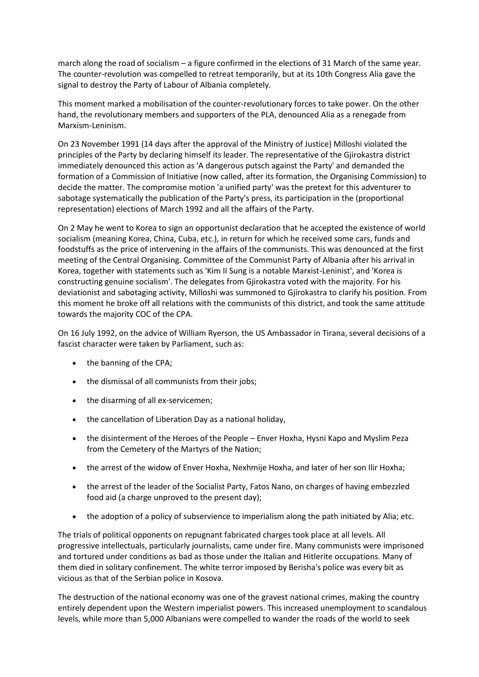march along the road of socialism – a figure confirmed in the elections of 31 March of the same year. The counter-revolution was compelled to retreat temporarily, but at its 10th Congress Alia gave the signal to destroy the Party of Labour of Albania completely.

This moment marked a mobilisation of the counter-revolutionary forces to take power. On the other hand, the revolutionary members and supporters of the PLA, denounced Alia as a renegade from Marxism-Leninism.

On 23 November 1991 (14 days after the approval of the Ministry of Justice) Milloshi violated the principles of the Party by declaring himself its leader. The representative of the Gjirokastra district immediately denounced this action as 'A dangerous putsch against the Party' and demanded the formation of a Commission of Initiative (now called, after its formation, the Organising Commission) to decide the matter. The compromise motion 'a unified party' was the pretext for this adventurer to sabotage systematically the publication of the Party's press, its participation in the (proportional representation) elections of March 1992 and all the affairs of the Party.

On 2 May he went to Korea to sign an opportunist declaration that he accepted the existence of world socialism (meaning Korea, China, Cuba, etc.), in return for which he received some cars, funds and foodstuffs as the price of intervening in the affairs of the communists. This was denounced at the first meeting of the Central Organising. Committee of the Communist Party of Albania after his arrival in Korea, together with statements such as 'Kim II Sung is a notable Marxist-Leninist', and 'Korea is constructing genuine socialism'. The delegates from Gjirokastra voted with the majority. For his deviationist and sabotaging activity, Milloshi was summoned to Gjirokastra to clarify his position. From this moment he broke off all relations with the communists of this district, and took the same attitude towards the majority COC of the CPA.

On 16 July 1992, on the advice of William Ryerson, the US Ambassador in Tirana, several decisions of a fascist character were taken by Parliament, such as:

- the banning of the CPA;
- the dismissal of all communists from their jobs;
- the disarming of all ex-servicemen;
- the cancellation of Liberation Day as a national holiday,
- the disinterment of the Heroes of the People Enver Hoxha, Hysni Kapo and Myslim Peza from the Cemetery of the Martyrs of the Nation;
- the arrest of the widow of Enver Hoxha, Nexhmije Hoxha, and later of her son Ilir Hoxha;
- the arrest of the leader of the Socialist Party, Fatos Nano, on charges of having embezzled food aid (a charge unproved to the present day);
- the adoption of a policy of subservience to imperialism along the path initiated by Alia; etc.

The trials of political opponents on repugnant fabricated charges took place at all levels. All progressive intellectuals, particularly journalists, came under fire. Many communists were imprisoned and tortured under conditions as bad as those under the Italian and Hitlerite occupations. Many of them died in solitary confinement. The white terror imposed by Berisha's police was every bit as vicious as that of the Serbian police in Kosova.

The destruction of the national economy was one of the gravest national crimes, making the country entirely dependent upon the Western imperialist powers. This increased unemployment to scandalous levels, while more than 5,000 Albanians were compelled to wander the roads of the world to seek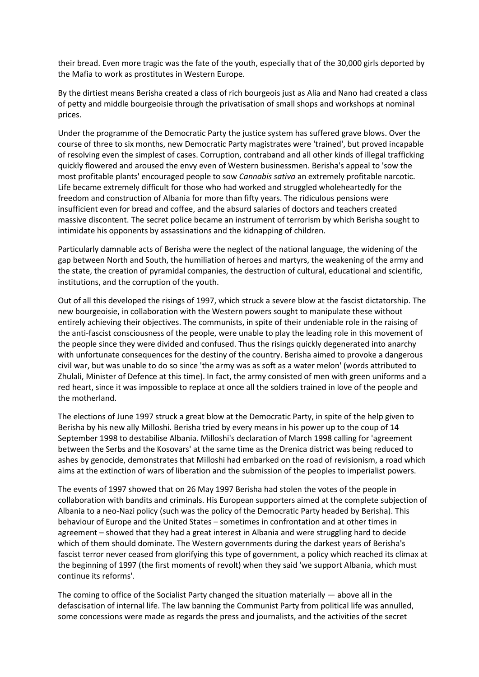their bread. Even more tragic was the fate of the youth, especially that of the 30,000 girls deported by the Mafia to work as prostitutes in Western Europe.

By the dirtiest means Berisha created a class of rich bourgeois just as Alia and Nano had created a class of petty and middle bourgeoisie through the privatisation of small shops and workshops at nominal prices.

Under the programme of the Democratic Party the justice system has suffered grave blows. Over the course of three to six months, new Democratic Party magistrates were 'trained', but proved incapable of resolving even the simplest of cases. Corruption, contraband and all other kinds of illegal trafficking quickly flowered and aroused the envy even of Western businessmen. Berisha's appeal to 'sow the most profitable plants' encouraged people to sow *Cannabis sativa* an extremely profitable narcotic. Life became extremely difficult for those who had worked and struggled wholeheartedly for the freedom and construction of Albania for more than fifty years. The ridiculous pensions were insufficient even for bread and coffee, and the absurd salaries of doctors and teachers created massive discontent. The secret police became an instrument of terrorism by which Berisha sought to intimidate his opponents by assassinations and the kidnapping of children.

Particularly damnable acts of Berisha were the neglect of the national language, the widening of the gap between North and South, the humiliation of heroes and martyrs, the weakening of the army and the state, the creation of pyramidal companies, the destruction of cultural, educational and scientific, institutions, and the corruption of the youth.

Out of all this developed the risings of 1997, which struck a severe blow at the fascist dictatorship. The new bourgeoisie, in collaboration with the Western powers sought to manipulate these without entirely achieving their objectives. The communists, in spite of their undeniable role in the raising of the anti-fascist consciousness of the people, were unable to play the leading role in this movement of the people since they were divided and confused. Thus the risings quickly degenerated into anarchy with unfortunate consequences for the destiny of the country. Berisha aimed to provoke a dangerous civil war, but was unable to do so since 'the army was as soft as a water melon' (words attributed to Zhulali, Minister of Defence at this time). In fact, the army consisted of men with green uniforms and a red heart, since it was impossible to replace at once all the soldiers trained in love of the people and the motherland.

The elections of June 1997 struck a great blow at the Democratic Party, in spite of the help given to Berisha by his new ally Milloshi. Berisha tried by every means in his power up to the coup of 14 September 1998 to destabilise Albania. Milloshi's declaration of March 1998 calling for 'agreement between the Serbs and the Kosovars' at the same time as the Drenica district was being reduced to ashes by genocide, demonstrates that Milloshi had embarked on the road of revisionism, a road which aims at the extinction of wars of liberation and the submission of the peoples to imperialist powers.

The events of 1997 showed that on 26 May 1997 Berisha had stolen the votes of the people in collaboration with bandits and criminals. His European supporters aimed at the complete subjection of Albania to a neo-Nazi policy (such was the policy of the Democratic Party headed by Berisha). This behaviour of Europe and the United States – sometimes in confrontation and at other times in agreement – showed that they had a great interest in Albania and were struggling hard to decide which of them should dominate. The Western governments during the darkest years of Berisha's fascist terror never ceased from glorifying this type of government, a policy which reached its climax at the beginning of 1997 (the first moments of revolt) when they said 'we support Albania, which must continue its reforms'.

The coming to office of the Socialist Party changed the situation materially — above all in the defascisation of internal life. The law banning the Communist Party from political life was annulled, some concessions were made as regards the press and journalists, and the activities of the secret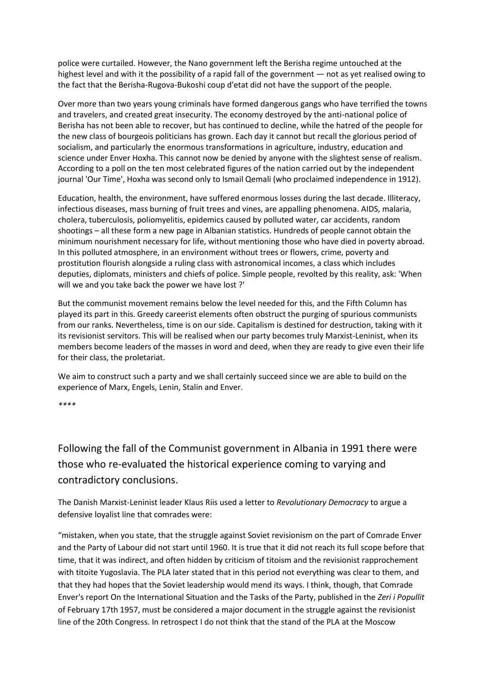police were curtailed. However, the Nano government left the Berisha regime untouched at the highest level and with it the possibility of a rapid fall of the government — not as yet realised owing to the fact that the Berisha-Rugova-Bukoshi coup d'etat did not have the support of the people.

Over more than two years young criminals have formed dangerous gangs who have terrified the towns and travelers, and created great insecurity. The economy destroyed by the anti-national police of Berisha has not been able to recover, but has continued to decline, while the hatred of the people for the new class of bourgeois politicians has grown. Each day it cannot but recall the glorious period of socialism, and particularly the enormous transformations in agriculture, industry, education and science under Enver Hoxha. This cannot now be denied by anyone with the slightest sense of realism. According to a poll on the ten most celebrated figures of the nation carried out by the independent journal 'Our Time', Hoxha was second only to Ismail Qemali (who proclaimed independence in 1912).

Education, health, the environment, have suffered enormous losses during the last decade. Illiteracy, infectious diseases, mass burning of fruit trees and vines, are appalling phenomena. AIDS, malaria, cholera, tuberculosis, poliomyelitis, epidemics caused by polluted water, car accidents, random shootings – all these form a new page in Albanian statistics. Hundreds of people cannot obtain the minimum nourishment necessary for life, without mentioning those who have died in poverty abroad. In this polluted atmosphere, in an environment without trees or flowers, crime, poverty and prostitution flourish alongside a ruling class with astronomical incomes, a class which includes deputies, diplomats, ministers and chiefs of police. Simple people, revolted by this reality, ask: 'When will we and you take back the power we have lost ?'

But the communist movement remains below the level needed for this, and the Fifth Column has played its part in this. Greedy careerist elements often obstruct the purging of spurious communists from our ranks. Nevertheless, time is on our side. Capitalism is destined for destruction, taking with it its revisionist servitors. This will be realised when our party becomes truly Marxist-Leninist, when its members become leaders of the masses in word and deed, when they are ready to give even their life for their class, the proletariat.

We aim to construct such a party and we shall certainly succeed since we are able to build on the experience of Marx, Engels, Lenin, Stalin and Enver.

*\*\*\*\**

Following the fall of the Communist government in Albania in 1991 there were those who re-evaluated the historical experience coming to varying and contradictory conclusions.

The Danish Marxist-Leninist leader Klaus Riis used a letter to *Revolutionary Democracy* to argue a defensive loyalist line that comrades were:

"mistaken, when you state, that the struggle against Soviet revisionism on the part of Comrade Enver and the Party of Labour did not start until 1960. It is true that it did not reach its full scope before that time, that it was indirect, and often hidden by criticism of titoism and the revisionist rapprochement with titoite Yugoslavia. The PLA later stated that in this period not everything was clear to them, and that they had hopes that the Soviet leadership would mend its ways. I think, though, that Comrade Enver's report On the International Situation and the Tasks of the Party, published in the *Zeri i Popullit* of February 17th 1957, must be considered a major document in the struggle against the revisionist line of the 20th Congress. In retrospect I do not think that the stand of the PLA at the Moscow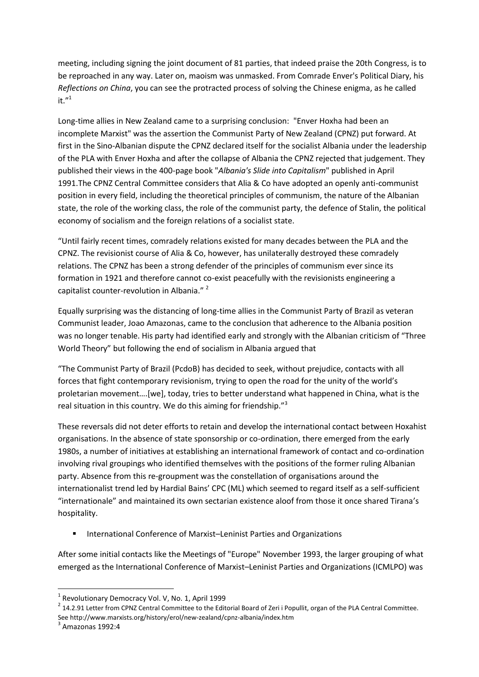meeting, including signing the joint document of 81 parties, that indeed praise the 20th Congress, is to be reproached in any way. Later on, maoism was unmasked. From Comrade Enver's Political Diary, his *Reflections on China*, you can see the protracted process of solving the Chinese enigma, as he called it. $^{\prime\prime}{}^{1}$ 

Long-time allies in New Zealand came to a surprising conclusion: "Enver Hoxha had been an incomplete Marxist" was the assertion the Communist Party of New Zealand (CPNZ) put forward. At first in the Sino-Albanian dispute the CPNZ declared itself for the socialist Albania under the leadership of the PLA with Enver Hoxha and after the collapse of Albania the CPNZ rejected that judgement. They published their views in the 400-page book "*Albania's Slide into Capitalism*" published in April 1991.The CPNZ Central Committee considers that Alia & Co have adopted an openly anti-communist position in every field, including the theoretical principles of communism, the nature of the Albanian state, the role of the working class, the role of the communist party, the defence of Stalin, the political economy of socialism and the foreign relations of a socialist state.

"Until fairly recent times, comradely relations existed for many decades between the PLA and the CPNZ. The revisionist course of Alia & Co, however, has unilaterally destroyed these comradely relations. The CPNZ has been a strong defender of the principles of communism ever since its formation in 1921 and therefore cannot co-exist peacefully with the revisionists engineering a capitalist counter-revolution in Albania."<sup>2</sup>

Equally surprising was the distancing of long-time allies in the Communist Party of Brazil as veteran Communist leader, Joao Amazonas, came to the conclusion that adherence to the Albania position was no longer tenable. His party had identified early and strongly with the Albanian criticism of "Three World Theory" but following the end of socialism in Albania argued that

"The Communist Party of Brazil (PcdoB) has decided to seek, without prejudice, contacts with all forces that fight contemporary revisionism, trying to open the road for the unity of the world's proletarian movement….[we], today, tries to better understand what happened in China, what is the real situation in this country. We do this aiming for friendship."<sup>3</sup>

These reversals did not deter efforts to retain and develop the international contact between Hoxahist organisations. In the absence of state sponsorship or co-ordination, there emerged from the early 1980s, a number of initiatives at establishing an international framework of contact and co-ordination involving rival groupings who identified themselves with the positions of the former ruling Albanian party. Absence from this re-groupment was the constellation of organisations around the internationalist trend led by Hardial Bains' CPC (ML) which seemed to regard itself as a self-sufficient "internationale" and maintained its own sectarian existence aloof from those it once shared Tirana's hospitality.

■ International Conference of Marxist–Leninist Parties and Organizations

After some initial contacts like the Meetings of "Europe" November 1993, the larger grouping of what emerged as the International Conference of Marxist–Leninist Parties and Organizations (ICMLPO) was

1

<sup>&</sup>lt;sup>1</sup> Revolutionary Democracy Vol. V, No. 1, April 1999

<sup>2</sup> 14.2.91 Letter from CPNZ Central Committee to the Editorial Board of Zeri i Popullit, organ of the PLA Central Committee. See http://www.marxists.org/history/erol/new-zealand/cpnz-albania/index.htm

 $3$  Amazonas 1992:4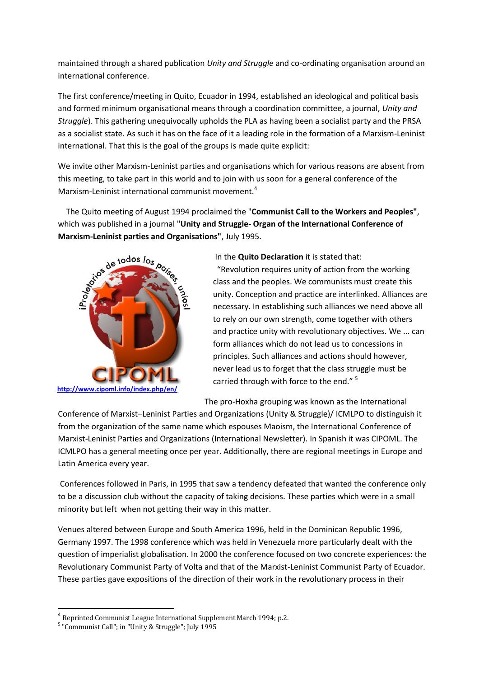maintained through a shared publication *Unity and Struggle* and co-ordinating organisation around an international conference.

The first conference/meeting in Quito, Ecuador in 1994, established an ideological and political basis and formed minimum organisational means through a coordination committee, a journal, *Unity and Struggle*). This gathering unequivocally upholds the PLA as having been a socialist party and the PRSA as a socialist state. As such it has on the face of it a leading role in the formation of a Marxism-Leninist international. That this is the goal of the groups is made quite explicit:

We invite other Marxism-Leninist parties and organisations which for various reasons are absent from this meeting, to take part in this world and to join with us soon for a general conference of the Marxism-Leninist international communist movement.<sup>4</sup>

 The Quito meeting of August 1994 proclaimed the "**Communist Call to the Workers and Peoples"**, which was published in a journal "**Unity and Struggle- Organ of the International Conference of Marxism-Leninist parties and Organisations"**, July 1995.



In the **Quito Declaration** it is stated that:

"Revolution requires unity of action from the working class and the peoples. We communists must create this unity. Conception and practice are interlinked. Alliances are necessary. In establishing such alliances we need above all to rely on our own strength, come together with others and practice unity with revolutionary objectives. We ... can form alliances which do not lead us to concessions in principles. Such alliances and actions should however, never lead us to forget that the class struggle must be carried through with force to the end."<sup>5</sup>

The pro-Hoxha grouping was known as the International

Conference of Marxist–Leninist Parties and Organizations (Unity & Struggle)/ ICMLPO to distinguish it from the organization of the same name which espouses Maoism, the International Conference of Marxist-Leninist Parties and Organizations (International Newsletter). In Spanish it was CIPOML. The ICMLPO has a general meeting once per year. Additionally, there are regional meetings in Europe and Latin America every year.

Conferences followed in Paris, in 1995 that saw a tendency defeated that wanted the conference only to be a discussion club without the capacity of taking decisions. These parties which were in a small minority but left when not getting their way in this matter.

Venues altered between Europe and South America 1996, held in the Dominican Republic 1996, Germany 1997. The 1998 conference which was held in Venezuela more particularly dealt with the question of imperialist globalisation. In 2000 the conference focused on two concrete experiences: the Revolutionary Communist Party of Volta and that of the Marxist-Leninist Communist Party of Ecuador. These parties gave expositions of the direction of their work in the revolutionary process in their

1

<sup>&</sup>lt;sup>4</sup> Reprinted Communist League International Supplement March 1994; p.2.

<sup>&</sup>lt;sup>5</sup> "Communist Call"; in "Unity & Struggle"; July 1995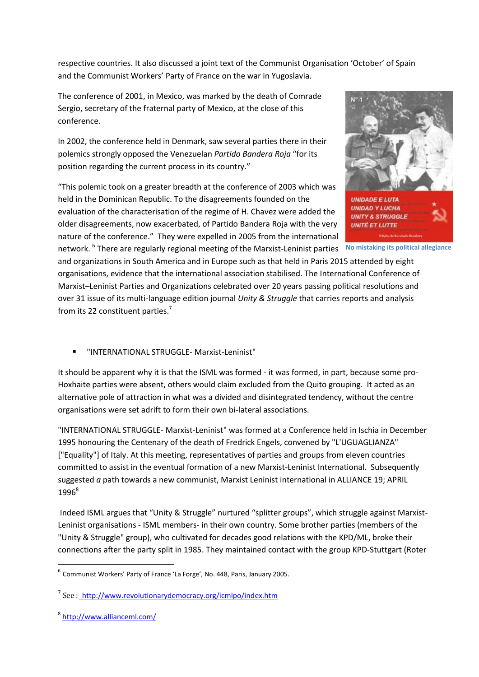respective countries. It also discussed a joint text of the Communist Organisation 'October' of Spain and the Communist Workers' Party of France on the war in Yugoslavia.

The conference of 2001, in Mexico, was marked by the death of Comrade Sergio, secretary of the fraternal party of Mexico, at the close of this conference.

In 2002, the conference held in Denmark, saw several parties there in their polemics strongly opposed the Venezuelan *Partido Bandera Roja* "for its position regarding the current process in its country."

"This polemic took on a greater breadth at the conference of 2003 which was held in the Dominican Republic. To the disagreements founded on the evaluation of the characterisation of the regime of H. Chavez were added the older disagreements, now exacerbated, of Partido Bandera Roja with the very nature of the conference." They were expelled in 2005 from the international network. <sup>6</sup> There are regularly regional meeting of the Marxist-Leninist parties **No mistaking its political allegiance**



and organizations in South America and in Europe such as that held in Paris 2015 attended by eight organisations, evidence that the international association stabilised. The International Conference of Marxist–Leninist Parties and Organizations celebrated over 20 years passing political resolutions and over 31 issue of its multi-language edition journal *Unity & Struggle* that carries reports and analysis from its 22 constituent parties.<sup>7</sup>

"INTERNATIONAL STRUGGLE- Marxist-Leninist"

It should be apparent why it is that the ISML was formed - it was formed, in part, because some pro-Hoxhaite parties were absent, others would claim excluded from the Quito grouping. It acted as an alternative pole of attraction in what was a divided and disintegrated tendency, without the centre organisations were set adrift to form their own bi-lateral associations.

"INTERNATIONAL STRUGGLE- Marxist-Leninist" was formed at a Conference held in Ischia in December 1995 honouring the Centenary of the death of Fredrick Engels, convened by "L'UGUAGLIANZA" ["Equality"] of Italy. At this meeting, representatives of parties and groups from eleven countries committed to assist in the eventual formation of a new Marxist-Leninist International. Subsequently suggested *a* path towards a new communist, Marxist Leninist international in ALLIANCE 19; APRIL 1996<sup>8</sup>

Indeed ISML argues that "Unity & Struggle" nurtured "splitter groups", which struggle against Marxist-Leninist organisations - ISML members- in their own country. Some brother parties (members of the "Unity & Struggle" group), who cultivated for decades good relations with the KPD/ML, broke their connections after the party split in 1985. They maintained contact with the group KPD-Stuttgart (Roter

 6 Communist Workers' Party of France 'La Forge', No. 448, Paris, January 2005.

<sup>&</sup>lt;sup>7</sup> See :<u>\_<http://www.revolutionarydemocracy.org/icmlpo/index.htm></u>

<sup>8</sup> <http://www.allianceml.com/>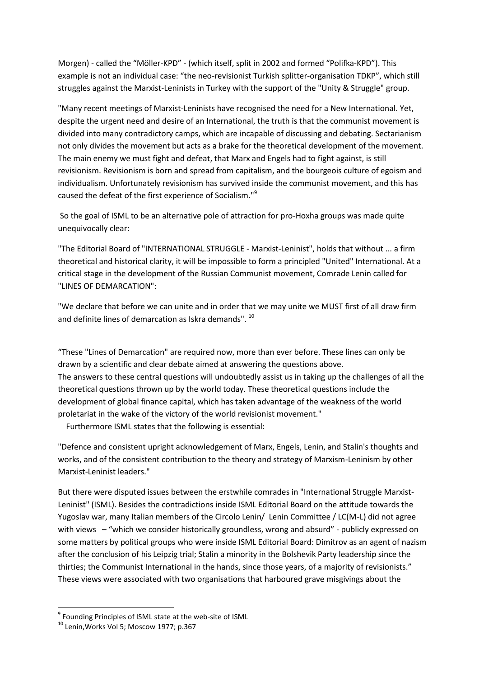Morgen) - called the "Möller-KPD" - (which itself, split in 2002 and formed "Polifka-KPD"). This example is not an individual case: "the neo-revisionist Turkish splitter-organisation TDKP", which still struggles against the Marxist-Leninists in Turkey with the support of the "Unity & Struggle" group.

"Many recent meetings of Marxist-Leninists have recognised the need for a New International. Yet, despite the urgent need and desire of an International, the truth is that the communist movement is divided into many contradictory camps, which are incapable of discussing and debating. Sectarianism not only divides the movement but acts as a brake for the theoretical development of the movement. The main enemy we must fight and defeat, that Marx and Engels had to fight against, is still revisionism. Revisionism is born and spread from capitalism, and the bourgeois culture of egoism and individualism. Unfortunately revisionism has survived inside the communist movement, and this has caused the defeat of the first experience of Socialism."<sup>9</sup>

So the goal of ISML to be an alternative pole of attraction for pro-Hoxha groups was made quite unequivocally clear:

"The Editorial Board of "INTERNATIONAL STRUGGLE - Marxist-Leninist", holds that without ... a firm theoretical and historical clarity, it will be impossible to form a principled "United" International. At a critical stage in the development of the Russian Communist movement, Comrade Lenin called for "LINES OF DEMARCATION":

"We declare that before we can unite and in order that we may unite we MUST first of all draw firm and definite lines of demarcation as Iskra demands". <sup>10</sup>

"These "Lines of Demarcation" are required now, more than ever before. These lines can only be drawn by a scientific and clear debate aimed at answering the questions above. The answers to these central questions will undoubtedly assist us in taking up the challenges of all the theoretical questions thrown up by the world today. These theoretical questions include the development of global finance capital, which has taken advantage of the weakness of the world proletariat in the wake of the victory of the world revisionist movement."

Furthermore ISML states that the following is essential:

"Defence and consistent upright acknowledgement of Marx, Engels, Lenin, and Stalin's thoughts and works, and of the consistent contribution to the theory and strategy of Marxism-Leninism by other Marxist-Leninist leaders."

But there were disputed issues between the erstwhile comrades in "International Struggle Marxist-Leninist" (ISML). Besides the contradictions inside ISML Editorial Board on the attitude towards the Yugoslav war, many Italian members of the Circolo Lenin/ Lenin Committee / LC(M-L) did not agree with views – "which we consider historically groundless, wrong and absurd" - publicly expressed on some matters by political groups who were inside ISML Editorial Board: Dimitrov as an agent of nazism after the conclusion of his Leipzig trial; Stalin a minority in the Bolshevik Party leadership since the thirties; the Communist International in the hands, since those years, of a majority of revisionists." These views were associated with two organisations that harboured grave misgivings about the

**.** 

<sup>&</sup>lt;sup>9</sup> Founding Principles of ISML state at the web-site of ISML

<sup>10</sup> Lenin,Works Vol 5; Moscow 1977; p.367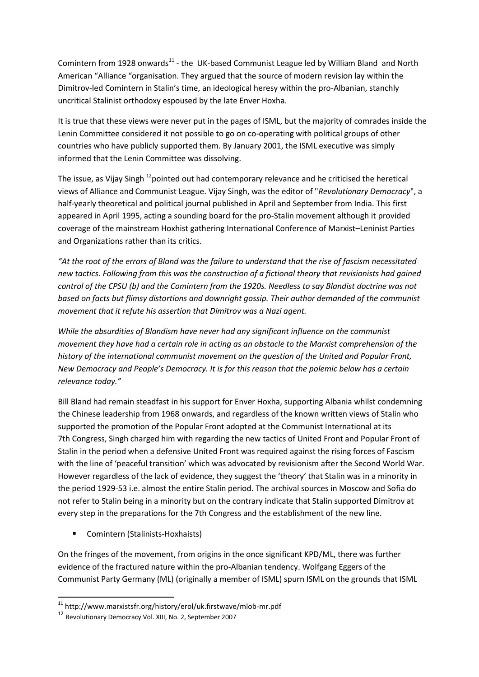Comintern from 1928 onwards $^{11}$  - the UK-based Communist League led by William Bland and North American "Alliance "organisation. They argued that the source of modern revision lay within the Dimitrov-led Comintern in Stalin's time, an ideological heresy within the pro-Albanian, stanchly uncritical Stalinist orthodoxy espoused by the late Enver Hoxha.

It is true that these views were never put in the pages of ISML, but the majority of comrades inside the Lenin Committee considered it not possible to go on co-operating with political groups of other countries who have publicly supported them. By January 2001, the ISML executive was simply informed that the Lenin Committee was dissolving.

The issue, as Vijay Singh <sup>12</sup>pointed out had contemporary relevance and he criticised the heretical views of Alliance and Communist League. Vijay Singh, was the editor of "*Revolutionary Democracy*", a half-yearly theoretical and political journal published in April and September from India. This first appeared in April 1995, acting a sounding board for the pro-Stalin movement although it provided coverage of the mainstream Hoxhist gathering International Conference of Marxist–Leninist Parties and Organizations rather than its critics.

*"At the root of the errors of Bland was the failure to understand that the rise of fascism necessitated new tactics. Following from this was the construction of a fictional theory that revisionists had gained control of the CPSU (b) and the Comintern from the 1920s. Needless to say Blandist doctrine was not based on facts but flimsy distortions and downright gossip. Their author demanded of the communist movement that it refute his assertion that Dimitrov was a Nazi agent.* 

*While the absurdities of Blandism have never had any significant influence on the communist movement they have had a certain role in acting as an obstacle to the Marxist comprehension of the history of the international communist movement on the question of the United and Popular Front, New Democracy and People's Democracy. It is for this reason that the polemic below has a certain relevance today."*

Bill Bland had remain steadfast in his support for Enver Hoxha, supporting Albania whilst condemning the Chinese leadership from 1968 onwards, and regardless of the known written views of Stalin who supported the promotion of the Popular Front adopted at the Communist International at its 7th Congress, Singh charged him with regarding the new tactics of United Front and Popular Front of Stalin in the period when a defensive United Front was required against the rising forces of Fascism with the line of 'peaceful transition' which was advocated by revisionism after the Second World War. However regardless of the lack of evidence, they suggest the 'theory' that Stalin was in a minority in the period 1929-53 i.e. almost the entire Stalin period. The archival sources in Moscow and Sofia do not refer to Stalin being in a minority but on the contrary indicate that Stalin supported Dimitrov at every step in the preparations for the 7th Congress and the establishment of the new line.

**Comintern (Stalinists-Hoxhaists)** 

On the fringes of the movement, from origins in the once significant KPD/ML, there was further evidence of the fractured nature within the pro-Albanian tendency. Wolfgang Eggers of the Communist Party Germany (ML) (originally a member of ISML) spurn ISML on the grounds that ISML

**<sup>.</sup>**  $11$  http://www.marxistsfr.org/history/erol/uk.firstwave/mlob-mr.pdf

<sup>12</sup> Revolutionary Democracy Vol. XIII, No. 2, September 2007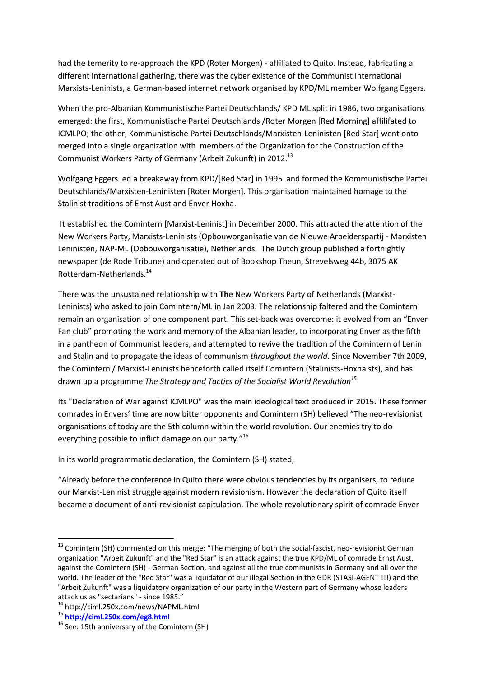had the temerity to re-approach the KPD (Roter Morgen) - affiliated to Quito. Instead, fabricating a different international gathering, there was the cyber existence of the Communist International Marxists-Leninists, a German-based internet network organised by KPD/ML member Wolfgang Eggers.

When the pro-Albanian Kommunistische Partei Deutschlands/ KPD ML split in 1986, two organisations emerged: the first, Kommunistische Partei Deutschlands /Roter Morgen [Red Morning] affilifated to ICMLPO; the other, Kommunistische Partei Deutschlands/Marxisten-Leninisten [Red Star] went onto merged into a single organization with members of the Organization for the Construction of the Communist Workers Party of Germany (Arbeit Zukunft) in 2012.<sup>13</sup>

Wolfgang Eggers led a breakaway from KPD/[Red Star] in 1995 and formed the Kommunistische Partei Deutschlands/Marxisten-Leninisten [Roter Morgen]. This organisation maintained homage to the Stalinist traditions of Ernst Aust and Enver Hoxha.

It established the Comintern [Marxist-Leninist] in December 2000. This attracted the attention of the New Workers Party, Marxists-Leninists (Opbouworganisatie van de Nieuwe Arbeiderspartij - Marxisten Leninisten, NAP-ML (Opbouworganisatie), Netherlands. The Dutch group published a fortnightly newspaper (de Rode Tribune) and operated out of Bookshop Theun, Strevelsweg 44b, 3075 AK Rotterdam-Netherlands.<sup>14</sup>

There was the unsustained relationship with **Th**e New Workers Party of Netherlands (Marxist-Leninists) who asked to join Comintern/ML in Jan 2003. The relationship faltered and the Comintern remain an organisation of one component part. This set-back was overcome: it evolved from an "Enver Fan club" promoting the work and memory of the Albanian leader, to incorporating Enver as the fifth in a pantheon of Communist leaders, and attempted to revive the tradition of the Comintern of Lenin and Stalin and to propagate the ideas of communism *throughout the world*. Since November 7th 2009, the Comintern / Marxist-Leninists henceforth called itself Comintern (Stalinists-Hoxhaists), and has drawn up a programme *The Strategy and Tactics of the Socialist World Revolution<sup>15</sup>*

Its "Declaration of War against ICMLPO" was the main ideological text produced in 2015. These former comrades in Envers' time are now bitter opponents and Comintern (SH) believed "The neo-revisionist organisations of today are the 5th column within the world revolution. Our enemies try to do everything possible to inflict damage on our party."<sup>16</sup>

In its world programmatic declaration, the Comintern (SH) stated,

"Already before the conference in Quito there were obvious tendencies by its organisers, to reduce our Marxist-Leninist struggle against modern revisionism. However the declaration of Quito itself became a document of anti-revisionist capitulation. The whole revolutionary spirit of comrade Enver

1

<sup>&</sup>lt;sup>13</sup> Comintern (SH) commented on this merge: "The merging of both the social-fascist, neo-revisionist German organization "Arbeit Zukunft" and the "Red Star" is an attack against the true KPD/ML of comrade Ernst Aust, against the Comintern (SH) - German Section, and against all the true communists in Germany and all over the world. The leader of the "Red Star" was a liquidator of our illegal Section in the GDR (STASI-AGENT !!!) and the "Arbeit Zukunft" was a liquidatory organization of our party in the Western part of Germany whose leaders attack us as "sectarians" - since 1985."

<sup>14</sup> http://ciml.250x.com/news/NAPML.html

<sup>15</sup> **<http://ciml.250x.com/eg8.html>**

 $16$  See: 15th anniversary of the Comintern (SH)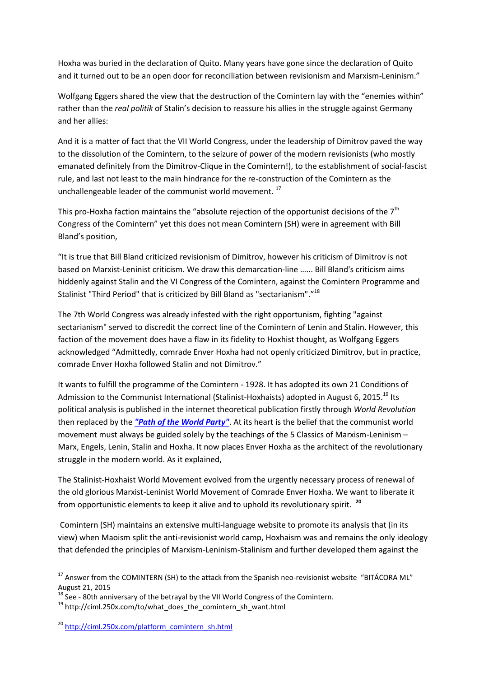Hoxha was buried in the declaration of Quito. Many years have gone since the declaration of Quito and it turned out to be an open door for reconciliation between revisionism and Marxism-Leninism."

Wolfgang Eggers shared the view that the destruction of the Comintern lay with the "enemies within" rather than the *real politik* of Stalin's decision to reassure his allies in the struggle against Germany and her allies:

And it is a matter of fact that the VII World Congress, under the leadership of Dimitrov paved the way to the dissolution of the Comintern, to the seizure of power of the modern revisionists (who mostly emanated definitely from the Dimitrov-Clique in the Comintern!), to the establishment of social-fascist rule, and last not least to the main hindrance for the re-construction of the Comintern as the unchallengeable leader of the communist world movement.<sup>17</sup>

This pro-Hoxha faction maintains the "absolute rejection of the opportunist decisions of the  $7<sup>th</sup>$ Congress of the Comintern" yet this does not mean Comintern (SH) were in agreement with Bill Bland's position,

"It is true that Bill Bland criticized revisionism of Dimitrov, however his criticism of Dimitrov is not based on Marxist-Leninist criticism. We draw this demarcation-line …... Bill Bland's criticism aims hiddenly against Stalin and the VI Congress of the Comintern, against the Comintern Programme and Stalinist "Third Period" that is criticized by Bill Bland as "sectarianism"."<sup>18</sup>

The 7th World Congress was already infested with the right opportunism, fighting "against sectarianism" served to discredit the correct line of the Comintern of Lenin and Stalin. However, this faction of the movement does have a flaw in its fidelity to Hoxhist thought, as Wolfgang Eggers acknowledged "Admittedly, comrade Enver Hoxha had not openly criticized Dimitrov, but in practice, comrade Enver Hoxha followed Stalin and not Dimitrov."

It wants to fulfill the programme of the Comintern - 1928. It has adopted its own 21 Conditions of Admission to the Communist International (Stalinist-Hoxhaists) adopted in August 6, 2015.<sup>19</sup> Its political analysis is published in the internet theoretical publication firstly through *World Revolution* then replaced by the *["Path of the World Party"](http://ciml.250x.com/to_english.html)*. At its heart is the belief that the communist world movement must always be guided solely by the teachings of the 5 Classics of Marxism-Leninism – Marx, Engels, Lenin, Stalin and Hoxha. It now places Enver Hoxha as the architect of the revolutionary struggle in the modern world. As it explained,

The Stalinist-Hoxhaist World Movement evolved from the urgently necessary process of renewal of the old glorious Marxist-Leninist World Movement of Comrade Enver Hoxha. We want to liberate it from opportunistic elements to keep it alive and to uphold its revolutionary spirit. **20**

Comintern (SH) maintains an extensive multi-language website to promote its analysis that (in its view) when Maoism split the anti-revisionist world camp, Hoxhaism was and remains the only ideology that defended the principles of Marxism-Leninism-Stalinism and further developed them against the

**.** 

<sup>&</sup>lt;sup>17</sup> Answer from the COMINTERN (SH) to the attack from the Spanish neo-revisionist website ["BITÁCORA ML"](http://bitacoramarxistaleninista.blogspot.com.es/2015/08/las-invenciones-del-thalmanniano.html) August 21, 2015

 $18$  See - 80th anniversary of the betrayal by the VII World Congress of the Comintern.

<sup>&</sup>lt;sup>19</sup> http://ciml.250x.com/to/what\_does\_the\_comintern\_sh\_want.html

<sup>&</sup>lt;sup>20</sup> [http://ciml.250x.com/platform\\_comintern\\_sh.html](http://ciml.250x.com/platform_comintern_sh.html)